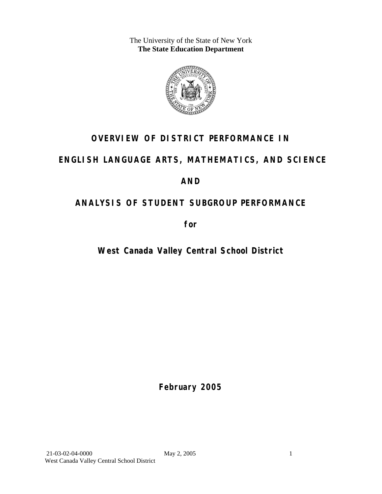The University of the State of New York **The State Education Department** 



## **OVERVIEW OF DISTRICT PERFORMANCE IN**

### **ENGLISH LANGUAGE ARTS, MATHEMATICS, AND SCIENCE**

### **AND**

## **ANALYSIS OF STUDENT SUBGROUP PERFORMANCE**

**for** 

## **West Canada Valley Central School District**

**February 2005**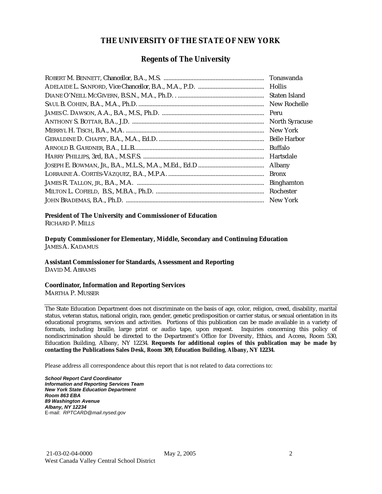#### **THE UNIVERSITY OF THE STATE OF NEW YORK**

#### **Regents of The University**

| Tonawanda             |
|-----------------------|
|                       |
| Staten Island         |
| New Rochelle          |
| Peru                  |
| <b>North Syracuse</b> |
| New York              |
| <b>Belle Harbor</b>   |
| <b>Buffalo</b>        |
| Hartsdale             |
| Albany                |
| <b>Bronx</b>          |
| <b>Binghamton</b>     |
| Rochester             |
| New York              |

### **President of The University and Commissioner of Education**

RICHARD P. MILLS

**Deputy Commissioner for Elementary, Middle, Secondary and Continuing Education**  JAMES A. KADAMUS

#### **Assistant Commissioner for Standards, Assessment and Reporting**  DAVID M. ABRAMS

**Coordinator, Information and Reporting Services** 

MARTHA P. MUSSER

The State Education Department does not discriminate on the basis of age, color, religion, creed, disability, marital status, veteran status, national origin, race, gender, genetic predisposition or carrier status, or sexual orientation in its educational programs, services and activities. Portions of this publication can be made available in a variety of formats, including braille, large print or audio tape, upon request. Inquiries concerning this policy of nondiscrimination should be directed to the Department's Office for Diversity, Ethics, and Access, Room 530, Education Building, Albany, NY 12234. **Requests for additional copies of this publication may be made by contacting the Publications Sales Desk, Room 309, Education Building, Albany, NY 12234.** 

Please address all correspondence about this report that is not related to data corrections to:

*School Report Card Coordinator Information and Reporting Services Team New York State Education Department Room 863 EBA 89 Washington Avenue Albany, NY 12234*  E-mail: *RPTCARD@mail.nysed.gov*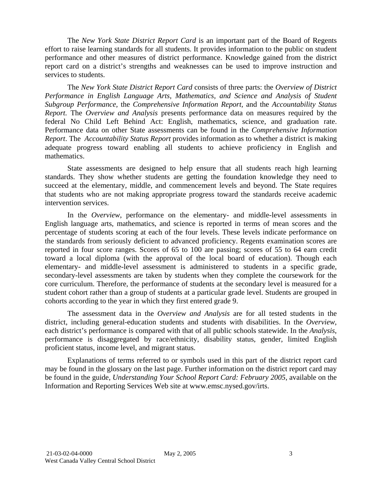The *New York State District Report Card* is an important part of the Board of Regents effort to raise learning standards for all students. It provides information to the public on student performance and other measures of district performance. Knowledge gained from the district report card on a district's strengths and weaknesses can be used to improve instruction and services to students.

The *New York State District Report Card* consists of three parts: the *Overview of District Performance in English Language Arts, Mathematics, and Science and Analysis of Student Subgroup Performance,* the *Comprehensive Information Report,* and the *Accountability Status Report.* The *Overview and Analysis* presents performance data on measures required by the federal No Child Left Behind Act: English, mathematics, science, and graduation rate. Performance data on other State assessments can be found in the *Comprehensive Information Report*. The *Accountability Status Report* provides information as to whether a district is making adequate progress toward enabling all students to achieve proficiency in English and mathematics.

State assessments are designed to help ensure that all students reach high learning standards. They show whether students are getting the foundation knowledge they need to succeed at the elementary, middle, and commencement levels and beyond. The State requires that students who are not making appropriate progress toward the standards receive academic intervention services.

In the *Overview*, performance on the elementary- and middle-level assessments in English language arts, mathematics, and science is reported in terms of mean scores and the percentage of students scoring at each of the four levels. These levels indicate performance on the standards from seriously deficient to advanced proficiency. Regents examination scores are reported in four score ranges. Scores of 65 to 100 are passing; scores of 55 to 64 earn credit toward a local diploma (with the approval of the local board of education). Though each elementary- and middle-level assessment is administered to students in a specific grade, secondary-level assessments are taken by students when they complete the coursework for the core curriculum. Therefore, the performance of students at the secondary level is measured for a student cohort rather than a group of students at a particular grade level. Students are grouped in cohorts according to the year in which they first entered grade 9.

The assessment data in the *Overview and Analysis* are for all tested students in the district, including general-education students and students with disabilities. In the *Overview*, each district's performance is compared with that of all public schools statewide. In the *Analysis*, performance is disaggregated by race/ethnicity, disability status, gender, limited English proficient status, income level, and migrant status.

Explanations of terms referred to or symbols used in this part of the district report card may be found in the glossary on the last page. Further information on the district report card may be found in the guide, *Understanding Your School Report Card: February 2005*, available on the Information and Reporting Services Web site at www.emsc.nysed.gov/irts.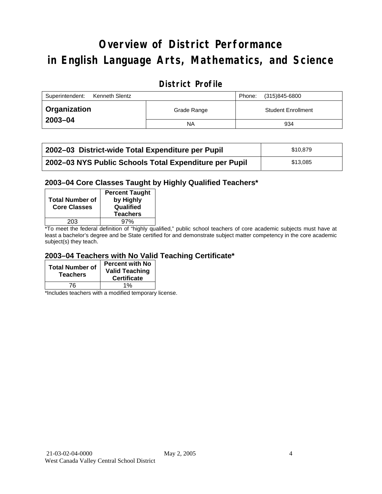# **Overview of District Performance in English Language Arts, Mathematics, and Science**

### **District Profile**

| Superintendent:<br>Kenneth Slentz |             | Phone: | (315)845-6800             |
|-----------------------------------|-------------|--------|---------------------------|
| <b>Organization</b>               | Grade Range |        | <b>Student Enrollment</b> |
| 2003-04                           | <b>NA</b>   |        | 934                       |

| 2002–03 District-wide Total Expenditure per Pupil      | \$10.879 |
|--------------------------------------------------------|----------|
| 2002-03 NYS Public Schools Total Expenditure per Pupil | \$13,085 |

#### **2003–04 Core Classes Taught by Highly Qualified Teachers\***

| by Highly<br>Qualified<br><b>Teachers</b> |
|-------------------------------------------|
| 97%                                       |
|                                           |

\*To meet the federal definition of "highly qualified," public school teachers of core academic subjects must have at least a bachelor's degree and be State certified for and demonstrate subject matter competency in the core academic subject(s) they teach.

#### **2003–04 Teachers with No Valid Teaching Certificate\***

| <b>Total Number of</b><br><b>Teachers</b> | <b>Percent with No</b><br><b>Valid Teaching</b><br><b>Certificate</b> |
|-------------------------------------------|-----------------------------------------------------------------------|
| 76                                        | 1%                                                                    |

\*Includes teachers with a modified temporary license.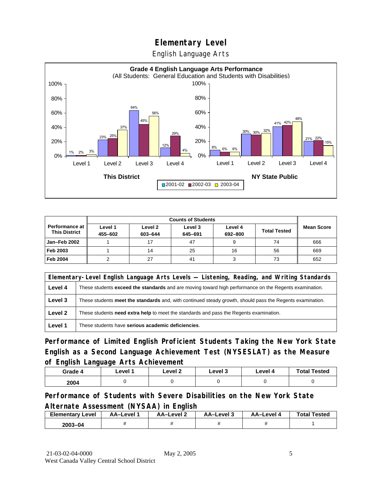English Language Arts



|                                          | <b>Counts of Students</b> |                    |                    |                    |                     |                   |
|------------------------------------------|---------------------------|--------------------|--------------------|--------------------|---------------------|-------------------|
| Performance at I<br><b>This District</b> | Level 1<br>455-602        | Level 2<br>603-644 | Level 3<br>645-691 | Level 4<br>692-800 | <b>Total Tested</b> | <b>Mean Score</b> |
| Jan-Feb 2002                             |                           |                    | 47                 |                    | 74                  | 666               |
| Feb 2003                                 |                           | 14                 | 25                 | 16                 | 56                  | 669               |
| <b>Feb 2004</b>                          |                           | 27                 | 41                 |                    | 73                  | 652               |

|         | Elementary-Level English Language Arts Levels — Listening, Reading, and Writing Standards                 |  |  |  |  |
|---------|-----------------------------------------------------------------------------------------------------------|--|--|--|--|
| Level 4 | These students exceed the standards and are moving toward high performance on the Regents examination.    |  |  |  |  |
| Level 3 | These students meet the standards and, with continued steady growth, should pass the Regents examination. |  |  |  |  |
| Level 2 | These students <b>need extra help</b> to meet the standards and pass the Regents examination.             |  |  |  |  |
| Level 1 | These students have serious academic deficiencies.                                                        |  |  |  |  |

**Performance of Limited English Proficient Students Taking the New York State English as a Second Language Achievement Test (NYSESLAT) as the Measure of English Language Arts Achievement**

| Grade 4 | Level 1 | Level <sub>2</sub> | ∟evel 3 | Level 4 | <b>Total Tested</b> |
|---------|---------|--------------------|---------|---------|---------------------|
| 2004    |         |                    |         |         |                     |

**Performance of Students with Severe Disabilities on the New York State Alternate Assessment (NYSAA) in English** 

| <b>Elementary Level</b> | AA-Level <sup>1</sup> | AA–Level 2 | AA-Level 3 | AA-Level 4 | <b>Total Tested</b> |
|-------------------------|-----------------------|------------|------------|------------|---------------------|
| 2003-04                 |                       |            |            |            |                     |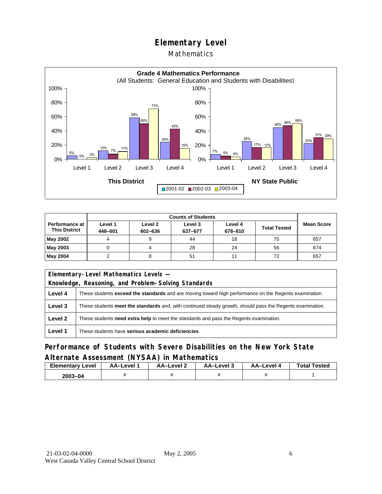#### Mathematics



|                                        | <b>Counts of Students</b> |                    |                    |                    |                     |                   |  |
|----------------------------------------|---------------------------|--------------------|--------------------|--------------------|---------------------|-------------------|--|
| Performance at<br><b>This District</b> | Level 1<br>448-601        | Level 2<br>602-636 | Level 3<br>637-677 | Level 4<br>678-810 | <b>Total Tested</b> | <b>Mean Score</b> |  |
| May 2002                               |                           |                    | 44                 | 18                 | 75                  | 657               |  |
| May 2003                               |                           |                    | 28                 | 24                 | 56                  | 674               |  |
| May 2004                               |                           |                    | 51                 | 11                 | 72                  | 657               |  |

| Elementary-Level Mathematics Levels - |                                                                                                           |  |  |  |  |
|---------------------------------------|-----------------------------------------------------------------------------------------------------------|--|--|--|--|
|                                       | Knowledge, Reasoning, and Problem-Solving Standards                                                       |  |  |  |  |
| Level 4                               | These students exceed the standards and are moving toward high performance on the Regents examination.    |  |  |  |  |
| Level 3                               | These students meet the standards and, with continued steady growth, should pass the Regents examination. |  |  |  |  |
| Level 2                               | These students need extra help to meet the standards and pass the Regents examination.                    |  |  |  |  |
| Level 1                               | These students have serious academic deficiencies.                                                        |  |  |  |  |

### **Performance of Students with Severe Disabilities on the New York State Alternate Assessment (NYSAA) in Mathematics**

| <b>Elementary</b><br>Level | AA-Level | AA-Level 2 | AA-Level 3 | AA–Level 4 | <b>Total Tested</b> |
|----------------------------|----------|------------|------------|------------|---------------------|
| 2003-04                    |          |            |            |            |                     |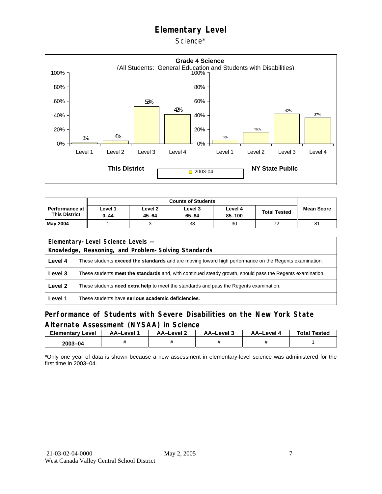Science\*



| Performance at<br><b>This District</b> | ∟evel 1<br>0-44 | Level <sub>2</sub><br>45-64 | Level 3<br>65-84 | Level 4<br>85-100 | <b>Total Tested</b> | <b>Mean Score</b> |
|----------------------------------------|-----------------|-----------------------------|------------------|-------------------|---------------------|-------------------|
| <b>May 2004</b>                        |                 |                             | 38               | 30                | 72                  | 81                |

|         | Elementary-Level Science Levels -                                                                             |  |  |  |  |
|---------|---------------------------------------------------------------------------------------------------------------|--|--|--|--|
|         | Knowledge, Reasoning, and Problem-Solving Standards                                                           |  |  |  |  |
| Level 4 | These students <b>exceed the standards</b> and are moving toward high performance on the Regents examination. |  |  |  |  |
| Level 3 | These students meet the standards and, with continued steady growth, should pass the Regents examination.     |  |  |  |  |
| Level 2 | These students <b>need extra help</b> to meet the standards and pass the Regents examination.                 |  |  |  |  |
| Level 1 | These students have serious academic deficiencies.                                                            |  |  |  |  |

#### **Performance of Students with Severe Disabilities on the New York State Alternate Assessment (NYSAA) in Science**

| Elementarv<br>Level | AA-Level | AA-Level 2 | AA-Level 3 | AA-Level 4 | <b>Total Tested</b> |
|---------------------|----------|------------|------------|------------|---------------------|
| $2003 - 04$         |          |            |            |            |                     |

\*Only one year of data is shown because a new assessment in elementary-level science was administered for the first time in 2003–04.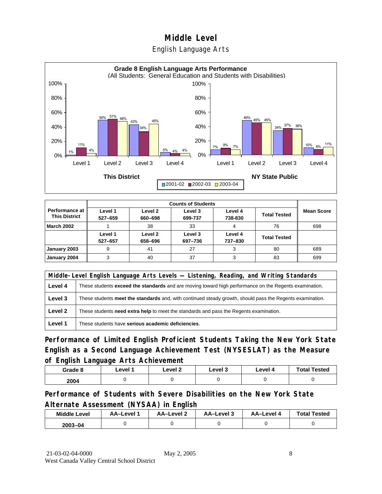### English Language Arts



|                                        |                    |                    | <b>Counts of Students</b> |                    |                     |                   |
|----------------------------------------|--------------------|--------------------|---------------------------|--------------------|---------------------|-------------------|
| Performance at<br><b>This District</b> | Level 1<br>527-659 | Level 2<br>660-698 | Level 3<br>699-737        | Level 4<br>738-830 | <b>Total Tested</b> | <b>Mean Score</b> |
| <b>March 2002</b>                      |                    | 38                 | 33                        | 4                  | 76                  | 698               |
|                                        | Level 1<br>527-657 | Level 2<br>658-696 | Level 3<br>697-736        | Level 4<br>737-830 | <b>Total Tested</b> |                   |
| January 2003                           | 9                  | 41                 | 27                        | 3                  | 80                  | 689               |
| January 2004                           | 3                  | 40                 | 37                        |                    | 83                  | 699               |

|         | Middle-Level English Language Arts Levels — Listening, Reading, and Writing Standards                         |  |  |  |  |
|---------|---------------------------------------------------------------------------------------------------------------|--|--|--|--|
| Level 4 | These students <b>exceed the standards</b> and are moving toward high performance on the Regents examination. |  |  |  |  |
| Level 3 | These students meet the standards and, with continued steady growth, should pass the Regents examination.     |  |  |  |  |
| Level 2 | These students need extra help to meet the standards and pass the Regents examination.                        |  |  |  |  |
| Level 1 | These students have serious academic deficiencies.                                                            |  |  |  |  |

**Performance of Limited English Proficient Students Taking the New York State English as a Second Language Achievement Test (NYSESLAT) as the Measure of English Language Arts Achievement**

| Grade 8 | Level 1 | Level 2 | Level 3 | Level 4 | <b>Total Tested</b> |
|---------|---------|---------|---------|---------|---------------------|
| 2004    |         |         |         |         |                     |

**Performance of Students with Severe Disabilities on the New York State Alternate Assessment (NYSAA) in English** 

| <b>Middle Level</b> | <b>AA-Level</b> | AA-Level 2 | AA-Level 3 | AA-Level 4 | <b>Total Tested</b> |
|---------------------|-----------------|------------|------------|------------|---------------------|
| $2003 - 04$         |                 |            |            |            |                     |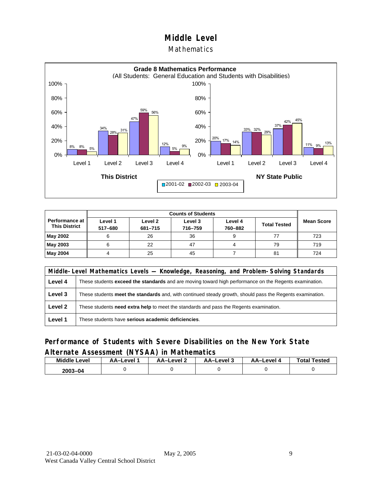#### **Mathematics**



|                                               |                    | <b>Counts of Students</b> |                    |                    |                     |                   |  |  |  |
|-----------------------------------------------|--------------------|---------------------------|--------------------|--------------------|---------------------|-------------------|--|--|--|
| <b>Performance at</b><br><b>This District</b> | Level 1<br>517-680 | Level 2<br>681-715        | Level 3<br>716-759 | Level 4<br>760-882 | <b>Total Tested</b> | <b>Mean Score</b> |  |  |  |
| May 2002                                      | 6                  | 26                        | 36                 | 9                  |                     | 723               |  |  |  |
| May 2003                                      | 6                  | 22                        | 47                 |                    | 79                  | 719               |  |  |  |
| May 2004                                      |                    | 25                        | 45                 |                    | 81                  | 724               |  |  |  |

|         | Middle-Level Mathematics Levels — Knowledge, Reasoning, and Problem-Solving Standards                     |  |  |  |  |
|---------|-----------------------------------------------------------------------------------------------------------|--|--|--|--|
| Level 4 | These students exceed the standards and are moving toward high performance on the Regents examination.    |  |  |  |  |
| Level 3 | These students meet the standards and, with continued steady growth, should pass the Regents examination. |  |  |  |  |
| Level 2 | These students <b>need extra help</b> to meet the standards and pass the Regents examination.             |  |  |  |  |
| Level 1 | These students have serious academic deficiencies.                                                        |  |  |  |  |

#### **Performance of Students with Severe Disabilities on the New York State Alternate Assessment (NYSAA) in Mathematics**

| <b>Middle</b><br>Level | AA-Level | $AA$ -l evel 2 | AA-Level 3 | AA-Level 4 | <b>Total Tested</b> |
|------------------------|----------|----------------|------------|------------|---------------------|
| 2003-04                |          |                |            |            |                     |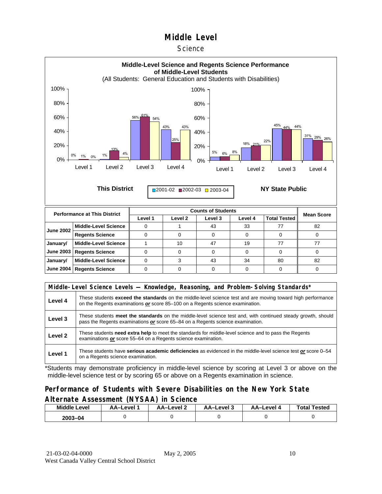#### **Science**



| <b>June 2002</b> | Middle-Level Science        |    | 43 | 33 |    | 82 |
|------------------|-----------------------------|----|----|----|----|----|
|                  | <b>Regents Science</b>      |    |    |    |    |    |
| January/         | Middle-Level Science        | 10 |    | 19 |    |    |
|                  | June 2003   Regents Science |    |    |    |    |    |
| January/         | Middle-Level Science        |    | 43 | 34 | 80 | 82 |
|                  | June 2004   Regents Science |    |    |    |    |    |

|         | Middle-Level Science Levels — Knowledge, Reasoning, and Problem-Solving Standards*                                                                                                                  |  |  |  |  |
|---------|-----------------------------------------------------------------------------------------------------------------------------------------------------------------------------------------------------|--|--|--|--|
| Level 4 | These students <b>exceed the standards</b> on the middle-level science test and are moving toward high performance<br>on the Regents examinations or score 85–100 on a Regents science examination. |  |  |  |  |
| Level 3 | These students meet the standards on the middle-level science test and, with continued steady growth, should<br>pass the Regents examinations or score 65–84 on a Regents science examination.      |  |  |  |  |
| Level 2 | These students need extra help to meet the standards for middle-level science and to pass the Regents<br>examinations or score 55-64 on a Regents science examination.                              |  |  |  |  |
| Level 1 | These students have serious academic deficiencies as evidenced in the middle-level science test or score 0–54<br>on a Regents science examination.                                                  |  |  |  |  |

\*Students may demonstrate proficiency in middle-level science by scoring at Level 3 or above on the middle-level science test or by scoring 65 or above on a Regents examination in science.

#### **Performance of Students with Severe Disabilities on the New York State Alternate Assessment (NYSAA) in Science**

| <b>Middle Level</b> | AA–Level | <b>AA-Level 2</b> | AA-Level 3 | AA–Level 4 | <b>Total Tested</b> |  |
|---------------------|----------|-------------------|------------|------------|---------------------|--|
| $2003 - 04$         |          |                   |            |            |                     |  |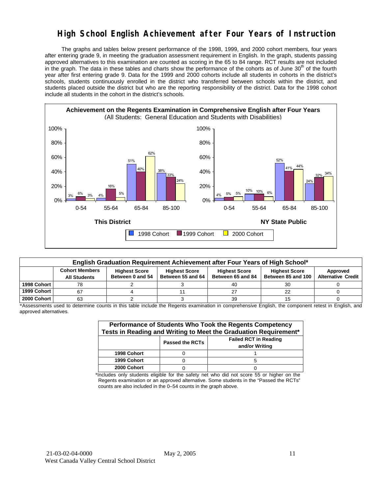### **High School English Achievement after Four Years of Instruction**

 The graphs and tables below present performance of the 1998, 1999, and 2000 cohort members, four years after entering grade 9, in meeting the graduation assessment requirement in English. In the graph, students passing approved alternatives to this examination are counted as scoring in the 65 to 84 range. RCT results are not included in the graph. The data in these tables and charts show the performance of the cohorts as of June 30<sup>th</sup> of the fourth year after first entering grade 9. Data for the 1999 and 2000 cohorts include all students in cohorts in the district's schools, students continuously enrolled in the district who transferred between schools within the district, and students placed outside the district but who are the reporting responsibility of the district. Data for the 1998 cohort include all students in the cohort in the district's schools.



| English Graduation Requirement Achievement after Four Years of High School* |                                              |                                          |                                           |                                           |                                            |                                       |  |  |  |  |
|-----------------------------------------------------------------------------|----------------------------------------------|------------------------------------------|-------------------------------------------|-------------------------------------------|--------------------------------------------|---------------------------------------|--|--|--|--|
|                                                                             | <b>Cohort Members</b><br><b>All Students</b> | <b>Highest Score</b><br>Between 0 and 54 | <b>Highest Score</b><br>Between 55 and 64 | <b>Highest Score</b><br>Between 65 and 84 | <b>Highest Score</b><br>Between 85 and 100 | Approved<br><b>Alternative Credit</b> |  |  |  |  |
|                                                                             |                                              |                                          |                                           |                                           |                                            |                                       |  |  |  |  |
| 1998 Cohort                                                                 | 78                                           |                                          |                                           | 40                                        | 30                                         |                                       |  |  |  |  |
| 1999 Cohort                                                                 | 67                                           |                                          |                                           |                                           | 22                                         |                                       |  |  |  |  |
| 2000 Cohort                                                                 | 63                                           |                                          |                                           | 39                                        |                                            |                                       |  |  |  |  |

\*Assessments used to determine counts in this table include the Regents examination in comprehensive English, the component retest in English, and approved alternatives.

| Performance of Students Who Took the Regents Competency<br>Tests in Reading and Writing to Meet the Graduation Requirement* |  |  |  |  |  |  |  |
|-----------------------------------------------------------------------------------------------------------------------------|--|--|--|--|--|--|--|
| <b>Failed RCT in Reading</b><br><b>Passed the RCTs</b><br>and/or Writing                                                    |  |  |  |  |  |  |  |
| 1998 Cohort                                                                                                                 |  |  |  |  |  |  |  |
| 1999 Cohort                                                                                                                 |  |  |  |  |  |  |  |
| 2000 Cohort                                                                                                                 |  |  |  |  |  |  |  |

\*Includes only students eligible for the safety net who did not score 55 or higher on the Regents examination or an approved alternative. Some students in the "Passed the RCTs" counts are also included in the 0–54 counts in the graph above.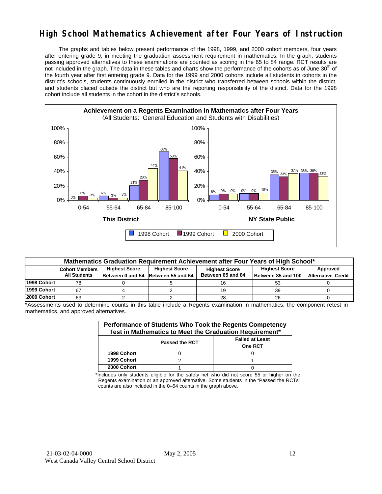### **High School Mathematics Achievement after Four Years of Instruction**

 The graphs and tables below present performance of the 1998, 1999, and 2000 cohort members, four years after entering grade 9, in meeting the graduation assessment requirement in mathematics. In the graph, students passing approved alternatives to these examinations are counted as scoring in the 65 to 84 range. RCT results are not included in the graph. The data in these tables and charts show the performance of the cohorts as of June 30<sup>th</sup> of the fourth year after first entering grade 9. Data for the 1999 and 2000 cohorts include all students in cohorts in the district's schools, students continuously enrolled in the district who transferred between schools within the district, and students placed outside the district but who are the reporting responsibility of the district. Data for the 1998 cohort include all students in the cohort in the district's schools.



| Mathematics Graduation Requirement Achievement after Four Years of High School* |                                                                                                                                                                                                                                                                        |  |  |    |    |  |  |  |  |  |
|---------------------------------------------------------------------------------|------------------------------------------------------------------------------------------------------------------------------------------------------------------------------------------------------------------------------------------------------------------------|--|--|----|----|--|--|--|--|--|
|                                                                                 | <b>Highest Score</b><br><b>Highest Score</b><br><b>Highest Score</b><br>Approved<br><b>Cohort Members</b><br><b>Highest Score</b><br>Between 65 and 84<br><b>All Students</b><br>Between 85 and 100<br><b>Alternative Credit</b><br>Between 0 and 54 Between 55 and 64 |  |  |    |    |  |  |  |  |  |
| 1998 Cohort                                                                     | 78                                                                                                                                                                                                                                                                     |  |  |    | 53 |  |  |  |  |  |
| 1999 Cohort                                                                     | 67                                                                                                                                                                                                                                                                     |  |  |    | 39 |  |  |  |  |  |
| 2000 Cohort                                                                     | 63                                                                                                                                                                                                                                                                     |  |  | 28 | 26 |  |  |  |  |  |

\*Assessments used to determine counts in this table include a Regents examination in mathematics, the component retest in mathematics, and approved alternatives.

| Performance of Students Who Took the Regents Competency<br>Test in Mathematics to Meet the Graduation Requirement* |                       |                                          |  |  |  |  |  |
|--------------------------------------------------------------------------------------------------------------------|-----------------------|------------------------------------------|--|--|--|--|--|
|                                                                                                                    | <b>Passed the RCT</b> | <b>Failed at Least</b><br><b>One RCT</b> |  |  |  |  |  |
| 1998 Cohort                                                                                                        |                       |                                          |  |  |  |  |  |
| 1999 Cohort                                                                                                        |                       |                                          |  |  |  |  |  |
| 2000 Cohort                                                                                                        |                       |                                          |  |  |  |  |  |

\*Includes only students eligible for the safety net who did not score 55 or higher on the Regents examination or an approved alternative. Some students in the "Passed the RCTs" counts are also included in the 0–54 counts in the graph above.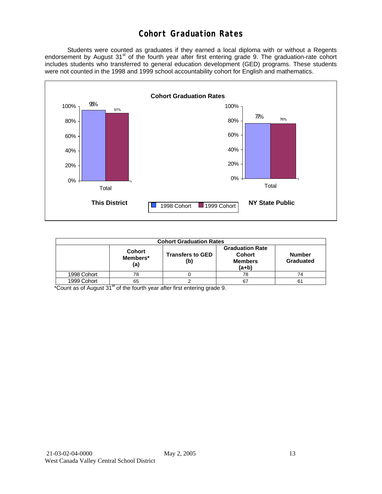### **Cohort Graduation Rates**

 Students were counted as graduates if they earned a local diploma with or without a Regents endorsement by August 31<sup>st</sup> of the fourth year after first entering grade 9. The graduation-rate cohort includes students who transferred to general education development (GED) programs. These students were not counted in the 1998 and 1999 school accountability cohort for English and mathematics.



| <b>Cohort Graduation Rates</b> |                                  |                                                                      |                            |    |  |  |  |  |  |
|--------------------------------|----------------------------------|----------------------------------------------------------------------|----------------------------|----|--|--|--|--|--|
|                                | <b>Cohort</b><br>Members*<br>(a) | <b>Graduation Rate</b><br><b>Cohort</b><br><b>Members</b><br>$(a+b)$ | <b>Number</b><br>Graduated |    |  |  |  |  |  |
| 1998 Cohort                    | 78                               |                                                                      | 78                         | 74 |  |  |  |  |  |
| 1999 Cohort                    | 65                               |                                                                      | 67                         | 61 |  |  |  |  |  |

\*Count as of August 31<sup>st</sup> of the fourth year after first entering grade 9.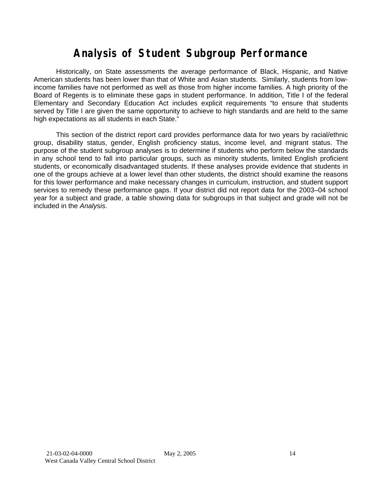# **Analysis of Student Subgroup Performance**

Historically, on State assessments the average performance of Black, Hispanic, and Native American students has been lower than that of White and Asian students. Similarly, students from lowincome families have not performed as well as those from higher income families. A high priority of the Board of Regents is to eliminate these gaps in student performance. In addition, Title I of the federal Elementary and Secondary Education Act includes explicit requirements "to ensure that students served by Title I are given the same opportunity to achieve to high standards and are held to the same high expectations as all students in each State."

This section of the district report card provides performance data for two years by racial/ethnic group, disability status, gender, English proficiency status, income level, and migrant status. The purpose of the student subgroup analyses is to determine if students who perform below the standards in any school tend to fall into particular groups, such as minority students, limited English proficient students, or economically disadvantaged students. If these analyses provide evidence that students in one of the groups achieve at a lower level than other students, the district should examine the reasons for this lower performance and make necessary changes in curriculum, instruction, and student support services to remedy these performance gaps. If your district did not report data for the 2003–04 school year for a subject and grade, a table showing data for subgroups in that subject and grade will not be included in the *Analysis*.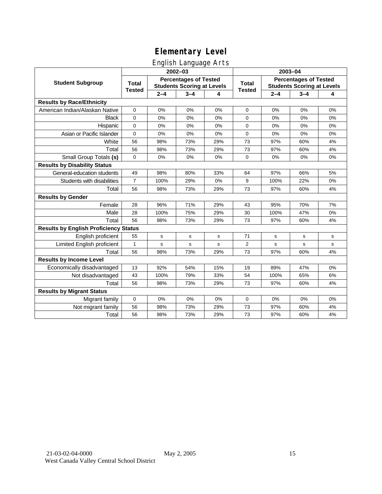### English Language Arts

|                                              |                |             | ັ<br>2002-03                                                      |     |               | 2003-04                                                           |             |    |  |
|----------------------------------------------|----------------|-------------|-------------------------------------------------------------------|-----|---------------|-------------------------------------------------------------------|-------------|----|--|
| <b>Student Subgroup</b>                      | <b>Total</b>   |             | <b>Percentages of Tested</b><br><b>Students Scoring at Levels</b> |     | <b>Total</b>  | <b>Percentages of Tested</b><br><b>Students Scoring at Levels</b> |             |    |  |
|                                              | <b>Tested</b>  | $2 - 4$     | $3 - 4$                                                           | 4   | <b>Tested</b> | $2 - 4$                                                           | $3 - 4$     | 4  |  |
| <b>Results by Race/Ethnicity</b>             |                |             |                                                                   |     |               |                                                                   |             |    |  |
| American Indian/Alaskan Native               | 0              | 0%          | 0%                                                                | 0%  | $\mathbf 0$   | 0%                                                                | 0%          | 0% |  |
| <b>Black</b>                                 | 0              | 0%          | 0%                                                                | 0%  | 0             | 0%                                                                | 0%          | 0% |  |
| Hispanic                                     | 0              | 0%          | 0%                                                                | 0%  | 0             | 0%                                                                | 0%          | 0% |  |
| Asian or Pacific Islander                    | 0              | 0%          | 0%                                                                | 0%  | 0             | 0%                                                                | 0%          | 0% |  |
| White                                        | 56             | 98%         | 73%                                                               | 29% | 73            | 97%                                                               | 60%         | 4% |  |
| Total                                        | 56             | 98%         | 73%                                                               | 29% | 73            | 97%                                                               | 60%         | 4% |  |
| Small Group Totals (s)                       | 0              | 0%          | 0%                                                                | 0%  | 0             | 0%                                                                | 0%          | 0% |  |
| <b>Results by Disability Status</b>          |                |             |                                                                   |     |               |                                                                   |             |    |  |
| General-education students                   | 49             | 98%         | 80%                                                               | 33% | 64            | 97%                                                               | 66%         | 5% |  |
| Students with disabilities                   | $\overline{7}$ | 100%        | 29%                                                               | 0%  | 9             | 100%                                                              | 22%         | 0% |  |
| Total                                        | 56             | 98%         | 73%                                                               | 29% | 73            | 97%                                                               | 60%         | 4% |  |
| <b>Results by Gender</b>                     |                |             |                                                                   |     |               |                                                                   |             |    |  |
| Female                                       | 28             | 96%         | 71%                                                               | 29% | 43            | 95%                                                               | 70%         | 7% |  |
| Male                                         | 28             | 100%        | 75%                                                               | 29% | 30            | 100%                                                              | 47%         | 0% |  |
| Total                                        | 56             | 98%         | 73%                                                               | 29% | 73            | 97%                                                               | 60%         | 4% |  |
| <b>Results by English Proficiency Status</b> |                |             |                                                                   |     |               |                                                                   |             |    |  |
| English proficient                           | 55             | $\mathbf s$ | s                                                                 | s   | 71            | s                                                                 | $\mathbf s$ | s  |  |
| Limited English proficient                   | $\mathbf{1}$   | s           | $\mathbf s$                                                       | s   | 2             | s                                                                 | s           | s  |  |
| Total                                        | 56             | 98%         | 73%                                                               | 29% | 73            | 97%                                                               | 60%         | 4% |  |
| <b>Results by Income Level</b>               |                |             |                                                                   |     |               |                                                                   |             |    |  |
| Economically disadvantaged                   | 13             | 92%         | 54%                                                               | 15% | 19            | 89%                                                               | 47%         | 0% |  |
| Not disadvantaged                            | 43             | 100%        | 79%                                                               | 33% | 54            | 100%                                                              | 65%         | 6% |  |
| Total                                        | 56             | 98%         | 73%                                                               | 29% | 73            | 97%                                                               | 60%         | 4% |  |
| <b>Results by Migrant Status</b>             |                |             |                                                                   |     |               |                                                                   |             |    |  |
| Migrant family                               | $\mathbf 0$    | 0%          | 0%                                                                | 0%  | 0             | 0%                                                                | 0%          | 0% |  |
| Not migrant family                           | 56             | 98%         | 73%                                                               | 29% | 73            | 97%                                                               | 60%         | 4% |  |
| Total                                        | 56             | 98%         | 73%                                                               | 29% | 73            | 97%                                                               | 60%         | 4% |  |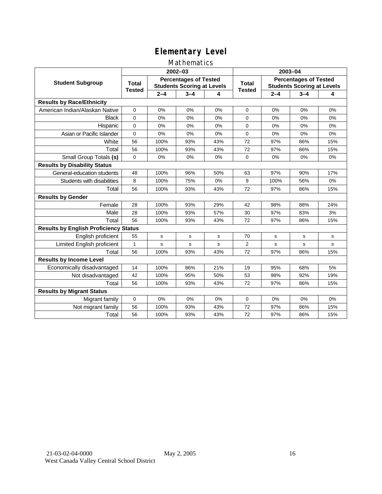#### Mathematics

|                                              |               |         | 2002-03                                                           |             |                        | 2003-04                                                           |             |     |  |
|----------------------------------------------|---------------|---------|-------------------------------------------------------------------|-------------|------------------------|-------------------------------------------------------------------|-------------|-----|--|
| <b>Student Subgroup</b>                      | <b>Total</b>  |         | <b>Percentages of Tested</b><br><b>Students Scoring at Levels</b> |             | Total<br><b>Tested</b> | <b>Percentages of Tested</b><br><b>Students Scoring at Levels</b> |             |     |  |
|                                              | <b>Tested</b> | $2 - 4$ | $3 - 4$                                                           | 4           |                        | $2 - 4$                                                           | $3 - 4$     | 4   |  |
| <b>Results by Race/Ethnicity</b>             |               |         |                                                                   |             |                        |                                                                   |             |     |  |
| American Indian/Alaskan Native               | $\mathbf{0}$  | 0%      | 0%                                                                | 0%          | $\mathbf 0$            | 0%                                                                | 0%          | 0%  |  |
| <b>Black</b>                                 | $\Omega$      | 0%      | 0%                                                                | 0%          | $\Omega$               | 0%                                                                | 0%          | 0%  |  |
| Hispanic                                     | $\Omega$      | 0%      | 0%                                                                | 0%          | 0                      | 0%                                                                | 0%          | 0%  |  |
| Asian or Pacific Islander                    | $\mathbf{0}$  | 0%      | 0%                                                                | 0%          | 0                      | 0%                                                                | 0%          | 0%  |  |
| White                                        | 56            | 100%    | 93%                                                               | 43%         | 72                     | 97%                                                               | 86%         | 15% |  |
| Total                                        | 56            | 100%    | 93%                                                               | 43%         | 72                     | 97%                                                               | 86%         | 15% |  |
| Small Group Totals (s)                       | $\mathbf 0$   | 0%      | 0%                                                                | 0%          | $\Omega$               | 0%                                                                | 0%          | 0%  |  |
| <b>Results by Disability Status</b>          |               |         |                                                                   |             |                        |                                                                   |             |     |  |
| General-education students                   | 48            | 100%    | 96%                                                               | 50%         | 63                     | 97%                                                               | 90%         | 17% |  |
| Students with disabilities                   | 8             | 100%    | 75%                                                               | 0%          | 9                      | 100%                                                              | 56%         | 0%  |  |
| Total                                        | 56            | 100%    | 93%                                                               | 43%         | 72                     | 97%                                                               | 86%         | 15% |  |
| <b>Results by Gender</b>                     |               |         |                                                                   |             |                        |                                                                   |             |     |  |
| Female                                       | 28            | 100%    | 93%                                                               | 29%         | 42                     | 98%                                                               | 88%         | 24% |  |
| Male                                         | 28            | 100%    | 93%                                                               | 57%         | 30                     | 97%                                                               | 83%         | 3%  |  |
| Total                                        | 56            | 100%    | 93%                                                               | 43%         | 72                     | 97%                                                               | 86%         | 15% |  |
| <b>Results by English Proficiency Status</b> |               |         |                                                                   |             |                        |                                                                   |             |     |  |
| English proficient                           | 55            | s       | $\mathbf s$                                                       | $\mathbf s$ | 70                     | $\mathbf s$                                                       | $\mathbf s$ | s   |  |
| Limited English proficient                   | $\mathbf{1}$  | s       | s                                                                 | S           | 2                      | s                                                                 | s           | s   |  |
| Total                                        | 56            | 100%    | 93%                                                               | 43%         | 72                     | 97%                                                               | 86%         | 15% |  |
| <b>Results by Income Level</b>               |               |         |                                                                   |             |                        |                                                                   |             |     |  |
| Economically disadvantaged                   | 14            | 100%    | 86%                                                               | 21%         | 19                     | 95%                                                               | 68%         | 5%  |  |
| Not disadvantaged                            | 42            | 100%    | 95%                                                               | 50%         | 53                     | 98%                                                               | 92%         | 19% |  |
| Total                                        | 56            | 100%    | 93%                                                               | 43%         | 72                     | 97%                                                               | 86%         | 15% |  |
| <b>Results by Migrant Status</b>             |               |         |                                                                   |             |                        |                                                                   |             |     |  |
| Migrant family                               | 0             | 0%      | 0%                                                                | 0%          | 0                      | 0%                                                                | 0%          | 0%  |  |
| Not migrant family                           | 56            | 100%    | 93%                                                               | 43%         | 72                     | 97%                                                               | 86%         | 15% |  |
| Total                                        | 56            | 100%    | 93%                                                               | 43%         | 72                     | 97%                                                               | 86%         | 15% |  |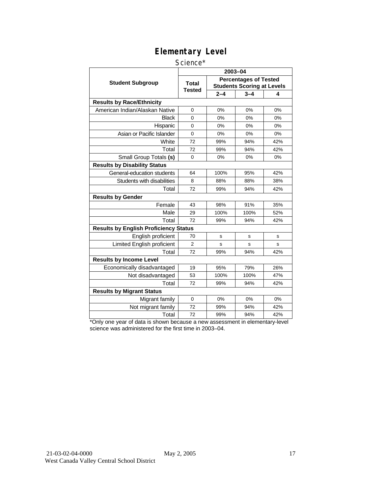#### Science\*

|                                              | 2003-04                |         |                                                                   |     |  |  |  |
|----------------------------------------------|------------------------|---------|-------------------------------------------------------------------|-----|--|--|--|
| <b>Student Subgroup</b>                      | <b>Total</b><br>Tested |         | <b>Percentages of Tested</b><br><b>Students Scoring at Levels</b> |     |  |  |  |
|                                              |                        | $2 - 4$ | $3 - 4$                                                           | 4   |  |  |  |
| <b>Results by Race/Ethnicity</b>             |                        |         |                                                                   |     |  |  |  |
| American Indian/Alaskan Native               | $\Omega$               | 0%      | 0%                                                                | 0%  |  |  |  |
| Black                                        | 0                      | 0%      | 0%                                                                | 0%  |  |  |  |
| Hispanic                                     | 0                      | 0%      | 0%                                                                | 0%  |  |  |  |
| Asian or Pacific Islander                    | $\overline{0}$         | 0%      | 0%                                                                | 0%  |  |  |  |
| White                                        | 72                     | 99%     | 94%                                                               | 42% |  |  |  |
| Total                                        | 72                     | 99%     | 94%                                                               | 42% |  |  |  |
| Small Group Totals (s)                       | $\mathbf 0$            | 0%      | 0%                                                                | 0%  |  |  |  |
| <b>Results by Disability Status</b>          |                        |         |                                                                   |     |  |  |  |
| General-education students                   | 64                     | 100%    | 95%                                                               | 42% |  |  |  |
| Students with disabilities                   | 8                      | 88%     | 88%                                                               | 38% |  |  |  |
| Total                                        | 72                     | 99%     | 94%                                                               | 42% |  |  |  |
| <b>Results by Gender</b>                     |                        |         |                                                                   |     |  |  |  |
| Female                                       | 43                     | 98%     | 91%                                                               | 35% |  |  |  |
| Male                                         | 29                     | 100%    | 100%                                                              | 52% |  |  |  |
| Total                                        | 72                     | 99%     | 94%                                                               | 42% |  |  |  |
| <b>Results by English Proficiency Status</b> |                        |         |                                                                   |     |  |  |  |
| English proficient                           | 70                     | s       | s                                                                 | s   |  |  |  |
| Limited English proficient                   | $\overline{2}$         | S       | s                                                                 | s   |  |  |  |
| Total                                        | 72                     | 99%     | 94%                                                               | 42% |  |  |  |
| <b>Results by Income Level</b>               |                        |         |                                                                   |     |  |  |  |
| Economically disadvantaged                   | 19                     | 95%     | 79%                                                               | 26% |  |  |  |
| Not disadvantaged                            | 53                     | 100%    | 100%                                                              | 47% |  |  |  |
| Total                                        | 72                     | 99%     | 94%                                                               | 42% |  |  |  |
| <b>Results by Migrant Status</b>             |                        |         |                                                                   |     |  |  |  |
| Migrant family                               | $\Omega$               | 0%      | 0%                                                                | 0%  |  |  |  |
| Not migrant family                           | 72                     | 99%     | 94%                                                               | 42% |  |  |  |
| Total                                        | 72                     | 99%     | 94%                                                               | 42% |  |  |  |

\*Only one year of data is shown because a new assessment in elementary-level science was administered for the first time in 2003–04.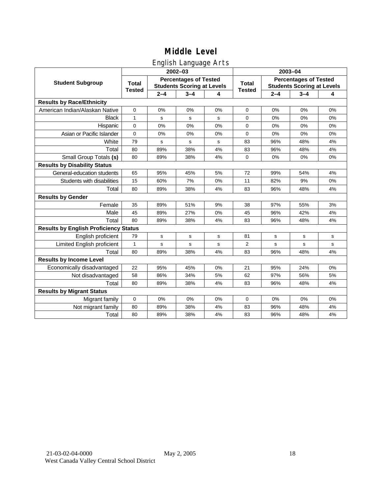### English Language Arts

|                                              |               |             | ັ<br>2002-03                                                      |    | 2003-04        |                                                                   |         |    |
|----------------------------------------------|---------------|-------------|-------------------------------------------------------------------|----|----------------|-------------------------------------------------------------------|---------|----|
| <b>Student Subgroup</b>                      | <b>Total</b>  |             | <b>Percentages of Tested</b><br><b>Students Scoring at Levels</b> |    | <b>Total</b>   | <b>Percentages of Tested</b><br><b>Students Scoring at Levels</b> |         |    |
|                                              | <b>Tested</b> | $2 - 4$     | $3 - 4$                                                           | 4  | <b>Tested</b>  | $2 - 4$                                                           | $3 - 4$ | 4  |
| <b>Results by Race/Ethnicity</b>             |               |             |                                                                   |    |                |                                                                   |         |    |
| American Indian/Alaskan Native               | $\pmb{0}$     | 0%          | 0%                                                                | 0% | $\mathbf 0$    | 0%                                                                | 0%      | 0% |
| <b>Black</b>                                 | $\mathbf{1}$  | s           | ${\tt s}$                                                         | s  | 0              | 0%                                                                | 0%      | 0% |
| Hispanic                                     | $\Omega$      | 0%          | 0%                                                                | 0% | 0              | 0%                                                                | 0%      | 0% |
| Asian or Pacific Islander                    | $\mathbf 0$   | 0%          | 0%                                                                | 0% | $\mathbf 0$    | 0%                                                                | 0%      | 0% |
| White                                        | 79            | $\mathbf s$ | ${\tt s}$                                                         | s  | 83             | 96%                                                               | 48%     | 4% |
| Total                                        | 80            | 89%         | 38%                                                               | 4% | 83             | 96%                                                               | 48%     | 4% |
| Small Group Totals (s)                       | 80            | 89%         | 38%                                                               | 4% | $\Omega$       | 0%                                                                | 0%      | 0% |
| <b>Results by Disability Status</b>          |               |             |                                                                   |    |                |                                                                   |         |    |
| General-education students                   | 65            | 95%         | 45%                                                               | 5% | 72             | 99%                                                               | 54%     | 4% |
| Students with disabilities                   | 15            | 60%         | 7%                                                                | 0% | 11             | 82%                                                               | 9%      | 0% |
| Total                                        | 80            | 89%         | 38%                                                               | 4% | 83             | 96%                                                               | 48%     | 4% |
| <b>Results by Gender</b>                     |               |             |                                                                   |    |                |                                                                   |         |    |
| Female                                       | 35            | 89%         | 51%                                                               | 9% | 38             | 97%                                                               | 55%     | 3% |
| Male                                         | 45            | 89%         | 27%                                                               | 0% | 45             | 96%                                                               | 42%     | 4% |
| Total                                        | 80            | 89%         | 38%                                                               | 4% | 83             | 96%                                                               | 48%     | 4% |
| <b>Results by English Proficiency Status</b> |               |             |                                                                   |    |                |                                                                   |         |    |
| English proficient                           | 79            | $\mathbf s$ | s                                                                 | s  | 81             | s                                                                 | s       | s  |
| Limited English proficient                   | $\mathbf{1}$  | $\mathbf s$ | s                                                                 | s  | $\overline{2}$ | $\mathbf s$                                                       | s       | s  |
| Total                                        | 80            | 89%         | 38%                                                               | 4% | 83             | 96%                                                               | 48%     | 4% |
| <b>Results by Income Level</b>               |               |             |                                                                   |    |                |                                                                   |         |    |
| Economically disadvantaged                   | 22            | 95%         | 45%                                                               | 0% | 21             | 95%                                                               | 24%     | 0% |
| Not disadvantaged                            | 58            | 86%         | 34%                                                               | 5% | 62             | 97%                                                               | 56%     | 5% |
| Total                                        | 80            | 89%         | 38%                                                               | 4% | 83             | 96%                                                               | 48%     | 4% |
| <b>Results by Migrant Status</b>             |               |             |                                                                   |    |                |                                                                   |         |    |
| Migrant family                               | $\mathbf 0$   | 0%          | 0%                                                                | 0% | 0              | 0%                                                                | 0%      | 0% |
| Not migrant family                           | 80            | 89%         | 38%                                                               | 4% | 83             | 96%                                                               | 48%     | 4% |
| Total                                        | 80            | 89%         | 38%                                                               | 4% | 83             | 96%                                                               | 48%     | 4% |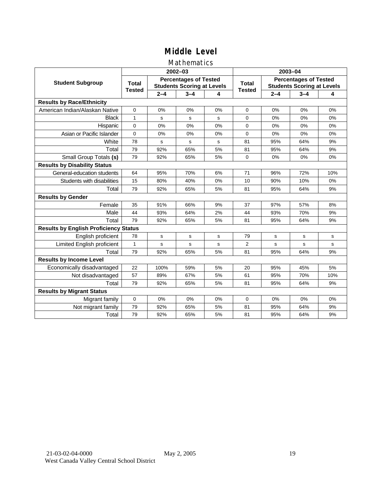### Mathematics

|                                              |               |         | 2002-03                                                           |    |                | 2003-04                                                           |         |     |  |
|----------------------------------------------|---------------|---------|-------------------------------------------------------------------|----|----------------|-------------------------------------------------------------------|---------|-----|--|
| <b>Student Subgroup</b>                      | <b>Total</b>  |         | <b>Percentages of Tested</b><br><b>Students Scoring at Levels</b> |    | <b>Total</b>   | <b>Percentages of Tested</b><br><b>Students Scoring at Levels</b> |         |     |  |
|                                              | <b>Tested</b> | $2 - 4$ | $3 - 4$                                                           | 4  | <b>Tested</b>  | $2 - 4$                                                           | $3 - 4$ | 4   |  |
| <b>Results by Race/Ethnicity</b>             |               |         |                                                                   |    |                |                                                                   |         |     |  |
| American Indian/Alaskan Native               | $\mathbf{0}$  | 0%      | 0%                                                                | 0% | $\Omega$       | 0%                                                                | 0%      | 0%  |  |
| <b>Black</b>                                 | $\mathbf{1}$  | s       | s                                                                 | s  | $\Omega$       | 0%                                                                | 0%      | 0%  |  |
| Hispanic                                     | $\mathbf 0$   | 0%      | 0%                                                                | 0% | 0              | 0%                                                                | 0%      | 0%  |  |
| Asian or Pacific Islander                    | $\mathbf 0$   | 0%      | 0%                                                                | 0% | 0              | 0%                                                                | 0%      | 0%  |  |
| White                                        | 78            | s       | s                                                                 | s  | 81             | 95%                                                               | 64%     | 9%  |  |
| Total                                        | 79            | 92%     | 65%                                                               | 5% | 81             | 95%                                                               | 64%     | 9%  |  |
| Small Group Totals (s)                       | 79            | 92%     | 65%                                                               | 5% | $\Omega$       | 0%                                                                | 0%      | 0%  |  |
| <b>Results by Disability Status</b>          |               |         |                                                                   |    |                |                                                                   |         |     |  |
| General-education students                   | 64            | 95%     | 70%                                                               | 6% | 71             | 96%                                                               | 72%     | 10% |  |
| Students with disabilities                   | 15            | 80%     | 40%                                                               | 0% | 10             | 90%                                                               | 10%     | 0%  |  |
| Total                                        | 79            | 92%     | 65%                                                               | 5% | 81             | 95%                                                               | 64%     | 9%  |  |
| <b>Results by Gender</b>                     |               |         |                                                                   |    |                |                                                                   |         |     |  |
| Female                                       | 35            | 91%     | 66%                                                               | 9% | 37             | 97%                                                               | 57%     | 8%  |  |
| Male                                         | 44            | 93%     | 64%                                                               | 2% | 44             | 93%                                                               | 70%     | 9%  |  |
| Total                                        | 79            | 92%     | 65%                                                               | 5% | 81             | 95%                                                               | 64%     | 9%  |  |
| <b>Results by English Proficiency Status</b> |               |         |                                                                   |    |                |                                                                   |         |     |  |
| English proficient                           | 78            | s       | s                                                                 | s  | 79             | s                                                                 | s       | s   |  |
| Limited English proficient                   | $\mathbf{1}$  | s       | s                                                                 | s  | $\overline{2}$ | s                                                                 | s       | s   |  |
| Total                                        | 79            | 92%     | 65%                                                               | 5% | 81             | 95%                                                               | 64%     | 9%  |  |
| <b>Results by Income Level</b>               |               |         |                                                                   |    |                |                                                                   |         |     |  |
| Economically disadvantaged                   | 22            | 100%    | 59%                                                               | 5% | 20             | 95%                                                               | 45%     | 5%  |  |
| Not disadvantaged                            | 57            | 89%     | 67%                                                               | 5% | 61             | 95%                                                               | 70%     | 10% |  |
| Total                                        | 79            | 92%     | 65%                                                               | 5% | 81             | 95%                                                               | 64%     | 9%  |  |
| <b>Results by Migrant Status</b>             |               |         |                                                                   |    |                |                                                                   |         |     |  |
| Migrant family                               | 0             | 0%      | 0%                                                                | 0% | 0              | 0%                                                                | 0%      | 0%  |  |
| Not migrant family                           | 79            | 92%     | 65%                                                               | 5% | 81             | 95%                                                               | 64%     | 9%  |  |
| Total                                        | 79            | 92%     | 65%                                                               | 5% | 81             | 95%                                                               | 64%     | 9%  |  |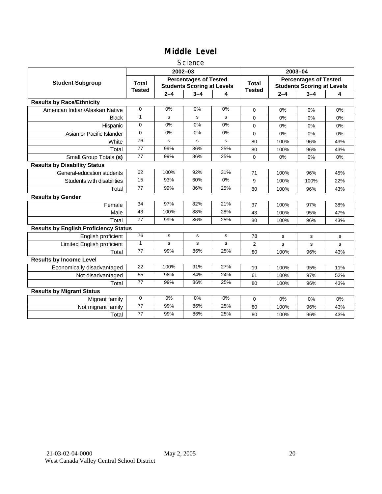#### **Science**

|                                              |                               |         | $2002 - 03$                                                       |       | 2003-04                       |                                                                   |         |     |
|----------------------------------------------|-------------------------------|---------|-------------------------------------------------------------------|-------|-------------------------------|-------------------------------------------------------------------|---------|-----|
| <b>Student Subgroup</b>                      | <b>Total</b><br><b>Tested</b> |         | <b>Percentages of Tested</b><br><b>Students Scoring at Levels</b> |       | <b>Total</b><br><b>Tested</b> | <b>Percentages of Tested</b><br><b>Students Scoring at Levels</b> |         |     |
|                                              |                               | $2 - 4$ | $3 - 4$                                                           | 4     |                               | $2 - 4$                                                           | $3 - 4$ | 4   |
| <b>Results by Race/Ethnicity</b>             |                               |         |                                                                   |       |                               |                                                                   |         |     |
| American Indian/Alaskan Native               | 0                             | 0%      | 0%                                                                | 0%    | $\Omega$                      | 0%                                                                | 0%      | 0%  |
| <b>Black</b>                                 | 1                             | s       | s                                                                 | s     | $\Omega$                      | 0%                                                                | 0%      | 0%  |
| Hispanic                                     | 0                             | 0%      | 0%                                                                | 0%    | $\Omega$                      | 0%                                                                | 0%      | 0%  |
| Asian or Pacific Islander                    | $\Omega$                      | 0%      | 0%                                                                | 0%    | 0                             | 0%                                                                | 0%      | 0%  |
| White                                        | 76                            | s       | s                                                                 | s     | 80                            | 100%                                                              | 96%     | 43% |
| Total                                        | 77                            | 99%     | 86%                                                               | 25%   | 80                            | 100%                                                              | 96%     | 43% |
| Small Group Totals (s)                       | 77                            | 99%     | 86%                                                               | 25%   | 0                             | 0%                                                                | 0%      | 0%  |
| <b>Results by Disability Status</b>          |                               |         |                                                                   |       |                               |                                                                   |         |     |
| General-education students                   | 62                            | 100%    | 92%                                                               | 31%   | 71                            | 100%                                                              | 96%     | 45% |
| Students with disabilities                   | 15                            | 93%     | 60%                                                               | $0\%$ | 9                             | 100%                                                              | 100%    | 22% |
| Total                                        | 77                            | 99%     | 86%                                                               | 25%   | 80                            | 100%                                                              | 96%     | 43% |
| <b>Results by Gender</b>                     |                               |         |                                                                   |       |                               |                                                                   |         |     |
| Female                                       | $\overline{34}$               | 97%     | 82%                                                               | 21%   | 37                            | 100%                                                              | 97%     | 38% |
| Male                                         | 43                            | 100%    | 88%                                                               | 28%   | 43                            | 100%                                                              | 95%     | 47% |
| Total                                        | 77                            | 99%     | 86%                                                               | 25%   | 80                            | 100%                                                              | 96%     | 43% |
| <b>Results by English Proficiency Status</b> |                               |         |                                                                   |       |                               |                                                                   |         |     |
| English proficient                           | 76                            | s       | $\mathbf s$                                                       | s     | 78                            | s                                                                 | s       | s   |
| <b>Limited English proficient</b>            | $\mathbf{1}$                  | s       | s                                                                 | s     | 2                             | s                                                                 | s       | s   |
| Total                                        | 77                            | 99%     | 86%                                                               | 25%   | 80                            | 100%                                                              | 96%     | 43% |
| <b>Results by Income Level</b>               |                               |         |                                                                   |       |                               |                                                                   |         |     |
| Economically disadvantaged                   | 22                            | 100%    | 91%                                                               | 27%   | 19                            | 100%                                                              | 95%     | 11% |
| Not disadvantaged                            | 55                            | 98%     | 84%                                                               | 24%   | 61                            | 100%                                                              | 97%     | 52% |
| Total                                        | 77                            | 99%     | 86%                                                               | 25%   | 80                            | 100%                                                              | 96%     | 43% |
| <b>Results by Migrant Status</b>             |                               |         |                                                                   |       |                               |                                                                   |         |     |
| Migrant family                               | 0                             | 0%      | 0%                                                                | 0%    | 0                             | 0%                                                                | 0%      | 0%  |
| Not migrant family                           | $\overline{77}$               | 99%     | 86%                                                               | 25%   | 80                            | 100%                                                              | 96%     | 43% |
| Total                                        | 77                            | 99%     | 86%                                                               | 25%   | 80                            | 100%                                                              | 96%     | 43% |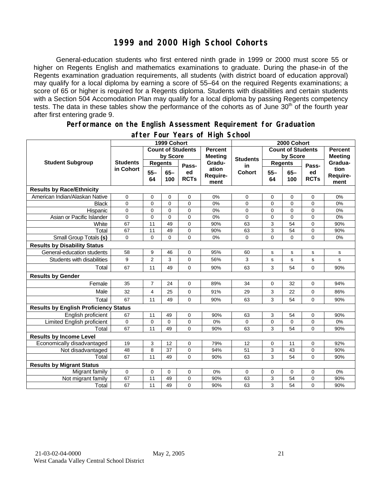### **1999 and 2000 High School Cohorts**

General-education students who first entered ninth grade in 1999 or 2000 must score 55 or higher on Regents English and mathematics examinations to graduate. During the phase-in of the Regents examination graduation requirements, all students (with district board of education approval) may qualify for a local diploma by earning a score of 55–64 on the required Regents examinations; a score of 65 or higher is required for a Regents diploma. Students with disabilities and certain students with a Section 504 Accomodation Plan may qualify for a local diploma by passing Regents competency tests. The data in these tables show the performance of the cohorts as of June 30<sup>th</sup> of the fourth year after first entering grade 9.

#### **Performance on the English Assessment Requirement for Graduation**

|                                              | 1999 Cohort                  |                          |                |                   |                                  | 2000 Cohort     |                          |                |                   |                                  |
|----------------------------------------------|------------------------------|--------------------------|----------------|-------------------|----------------------------------|-----------------|--------------------------|----------------|-------------------|----------------------------------|
| <b>Student Subgroup</b>                      |                              | <b>Count of Students</b> |                |                   | <b>Percent</b><br><b>Meeting</b> |                 | <b>Count of Students</b> |                |                   | <b>Percent</b><br><b>Meeting</b> |
|                                              | <b>Students</b><br>in Cohort | by Score                 |                |                   |                                  | <b>Students</b> | by Score                 |                |                   |                                  |
|                                              |                              | <b>Regents</b>           |                | Pass-             | Gradu-                           | in              | <b>Regents</b>           |                | Pass-             | Gradua-                          |
|                                              |                              | $55 -$<br>64             | $65 -$<br>100  | ed<br><b>RCTs</b> | ation<br>Require-<br>ment        | <b>Cohort</b>   | $55 -$<br>64             | $65 -$<br>100  | ed<br><b>RCTs</b> | tion<br>Require-<br>ment         |
| <b>Results by Race/Ethnicity</b>             |                              |                          |                |                   |                                  |                 |                          |                |                   |                                  |
| American Indian/Alaskan Native               | 0                            | 0                        | 0              | $\mathbf 0$       | 0%                               | 0               | 0                        | 0              | $\mathbf 0$       | 0%                               |
| <b>Black</b>                                 | $\mathbf 0$                  | $\Omega$                 | $\overline{0}$ | $\Omega$          | 0%                               | 0               | $\overline{0}$           | $\overline{0}$ | $\overline{0}$    | 0%                               |
| Hispanic                                     | $\mathbf 0$                  | 0                        | $\mathbf 0$    | 0                 | 0%                               | 0               | $\overline{0}$           | 0              | $\mathbf 0$       | $0\%$                            |
| Asian or Pacific Islander                    | $\overline{0}$               | 0                        | $\Omega$       | $\overline{0}$    | 0%                               | $\mathbf 0$     | $\overline{0}$           | $\overline{0}$ | $\Omega$          | 0%                               |
| White                                        | 67                           | 11                       | 49             | $\mathbf 0$       | 90%                              | 63              | 3                        | 54             | $\mathbf 0$       | 90%                              |
| Total                                        | 67                           | 11                       | 49             | $\mathbf 0$       | 90%                              | 63              | $\overline{3}$           | 54             | $\mathbf 0$       | 90%                              |
| Small Group Totals (s)                       | 0                            | 0                        | $\mathbf 0$    | $\Omega$          | 0%                               | 0               | 0                        | 0              | $\Omega$          | 0%                               |
| <b>Results by Disability Status</b>          |                              |                          |                |                   |                                  |                 |                          |                |                   |                                  |
| General-education students                   | 58                           | 9                        | 46             | 0                 | 95%                              | 60              | s                        | s              | s                 | s                                |
| Students with disabilities                   | 9                            | $\overline{2}$           | 3              | 0                 | 56%                              | 3               | $\mathbf s$              | s              | s                 | s                                |
| Total                                        | 67                           | 11                       | 49             | 0                 | 90%                              | 63              | 3                        | 54             | $\mathbf 0$       | 90%                              |
| <b>Results by Gender</b>                     |                              |                          |                |                   |                                  |                 |                          |                |                   |                                  |
| Female                                       | 35                           | $\overline{7}$           | 24             | $\Omega$          | 89%                              | 34              | $\Omega$                 | 32             | $\Omega$          | 94%                              |
| Male                                         | 32                           | 4                        | 25             | 0                 | 91%                              | 29              | 3                        | 22             | 0                 | 86%                              |
| Total                                        | 67                           | 11                       | 49             | $\Omega$          | 90%                              | 63              | 3                        | 54             | $\Omega$          | 90%                              |
| <b>Results by English Proficiency Status</b> |                              |                          |                |                   |                                  |                 |                          |                |                   |                                  |
| English proficient                           | 67                           | 11                       | 49             | 0                 | 90%                              | 63              | 3                        | 54             | 0                 | 90%                              |
| Limited English proficient                   | $\mathbf 0$                  | 0                        | 0              | 0                 | 0%                               | 0               | 0                        | 0              | 0                 | 0%                               |
| Total                                        | 67                           | 11                       | 49             | 0                 | 90%                              | 63              | 3                        | 54             | $\overline{0}$    | 90%                              |
| <b>Results by Income Level</b>               |                              |                          |                |                   |                                  |                 |                          |                |                   |                                  |
| Economically disadvantaged                   | 19                           | 3                        | 12             | $\Omega$          | 79%                              | 12              | 0                        | 11             | $\mathbf 0$       | 92%                              |
| Not disadvantaged                            | 48                           | 8                        | 37             | 0                 | 94%                              | 51              | 3                        | 43             | 0                 | 90%                              |
| Total                                        | 67                           | 11                       | 49             | $\Omega$          | 90%                              | 63              | 3                        | 54             | $\overline{0}$    | 90%                              |
| <b>Results by Migrant Status</b>             |                              |                          |                |                   |                                  |                 |                          |                |                   |                                  |
| Migrant family                               | 0                            | 0                        | 0              | $\mathbf 0$       | 0%                               | 0               | 0                        | 0              | 0                 | 0%                               |
| Not migrant family                           | 67                           | 11                       | 49             | 0                 | 90%                              | 63              | 3                        | 54             | 0                 | 90%                              |
| Total                                        | 67                           | 11                       | 49             | $\mathbf 0$       | 90%                              | 63              | 3                        | 54             | $\Omega$          | 90%                              |

#### **after Four Years of High School**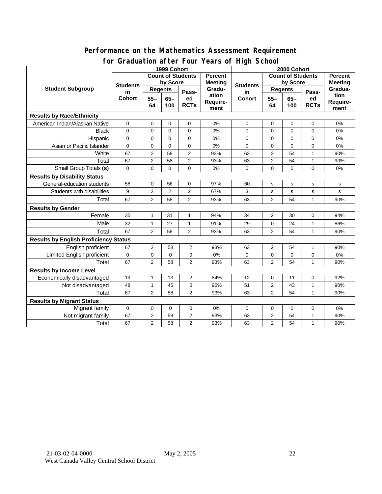#### **Performance on the Mathematics Assessment Requirement for Graduation after Four Years of High School**

|                                              |                                        | 1999 Cohort                                |                | addation artor roar roars or riigh conce<br>2000 Cohort |                           |                          |                         |              |                   |                          |
|----------------------------------------------|----------------------------------------|--------------------------------------------|----------------|---------------------------------------------------------|---------------------------|--------------------------|-------------------------|--------------|-------------------|--------------------------|
| <b>Student Subgroup</b>                      |                                        | <b>Count of Students</b><br><b>Percent</b> |                |                                                         |                           | <b>Count of Students</b> |                         |              |                   | Percent                  |
|                                              | <b>Students</b><br>in<br><b>Cohort</b> | by Score                                   |                |                                                         | <b>Meeting</b>            | <b>Students</b>          | by Score                |              |                   | <b>Meeting</b>           |
|                                              |                                        | <b>Regents</b>                             |                | Pass-                                                   | Gradu-                    | in                       | <b>Regents</b>          |              | Pass-             | Gradua-                  |
|                                              |                                        | $55 -$<br>64                               | $65-$<br>100   | ed<br><b>RCTs</b>                                       | ation<br>Require-<br>ment | <b>Cohort</b>            | $55 -$<br>64            | $65-$<br>100 | ed<br><b>RCTs</b> | tion<br>Require-<br>ment |
| <b>Results by Race/Ethnicity</b>             |                                        |                                            |                |                                                         |                           |                          |                         |              |                   |                          |
| American Indian/Alaskan Native               | 0                                      | 0                                          | $\mathbf 0$    | 0                                                       | 0%                        | 0                        | 0                       | 0            | 0                 | 0%                       |
| <b>Black</b>                                 | $\mathbf 0$                            | $\mathbf 0$                                | $\mathbf 0$    | $\mathbf 0$                                             | 0%                        | 0                        | 0                       | 0            | $\mathbf 0$       | 0%                       |
| Hispanic                                     | 0                                      | 0                                          | 0              | 0                                                       | 0%                        | 0                        | 0                       | 0            | 0                 | 0%                       |
| Asian or Pacific Islander                    | $\mathbf 0$                            | 0                                          | $\mathbf 0$    | $\mathbf 0$                                             | 0%                        | 0                        | $\mathbf 0$             | 0            | 0                 | 0%                       |
| White                                        | 67                                     | 2                                          | 58             | $\overline{2}$                                          | 93%                       | 63                       | 2                       | 54           | $\mathbf{1}$      | 90%                      |
| Total                                        | 67                                     | $\overline{2}$                             | 58             | $\overline{2}$                                          | 93%                       | 63                       | 2                       | 54           | $\mathbf{1}$      | 90%                      |
| Small Group Totals (s)                       | 0                                      | 0                                          | 0              | $\mathbf 0$                                             | 0%                        | 0                        | 0                       | 0            | $\mathbf 0$       | 0%                       |
| <b>Results by Disability Status</b>          |                                        |                                            |                |                                                         |                           |                          |                         |              |                   |                          |
| General-education students                   | 58                                     | $\mathbf 0$                                | 56             | $\mathbf 0$                                             | 97%                       | 60                       | s                       | s            | $\mathbf s$       | $\mathbf s$              |
| Students with disabilities                   | 9                                      | $\overline{2}$                             | $\overline{2}$ | $\overline{2}$                                          | 67%                       | 3                        | s                       | $\mathbf s$  | s                 | s                        |
| Total                                        | 67                                     | $\overline{2}$                             | 58             | $\overline{2}$                                          | 93%                       | 63                       | $\overline{2}$          | 54           | $\mathbf{1}$      | 90%                      |
| <b>Results by Gender</b>                     |                                        |                                            |                |                                                         |                           |                          |                         |              |                   |                          |
| Female                                       | 35                                     | 1                                          | 31             | 1                                                       | 94%                       | 34                       | 2                       | 30           | 0                 | 94%                      |
| Male                                         | 32                                     | $\mathbf{1}$                               | 27             | $\mathbf{1}$                                            | 91%                       | 29                       | $\mathbf 0$             | 24           | $\mathbf{1}$      | 86%                      |
| Total                                        | 67                                     | $\overline{2}$                             | 58             | $\overline{2}$                                          | 93%                       | 63                       | 2                       | 54           | $\mathbf{1}$      | 90%                      |
| <b>Results by English Proficiency Status</b> |                                        |                                            |                |                                                         |                           |                          |                         |              |                   |                          |
| English proficient                           | 67                                     | $\overline{c}$                             | 58             | 2                                                       | 93%                       | 63                       | 2                       | 54           | $\mathbf{1}$      | 90%                      |
| Limited English proficient                   | $\mathbf 0$                            | $\pmb{0}$                                  | 0              | 0                                                       | 0%                        | 0                        | $\pmb{0}$               | 0            | 0                 | 0%                       |
| Total                                        | 67                                     | $\overline{2}$                             | 58             | $\overline{2}$                                          | 93%                       | 63                       | $\overline{2}$          | 54           | $\mathbf{1}$      | 90%                      |
| <b>Results by Income Level</b>               |                                        |                                            |                |                                                         |                           |                          |                         |              |                   |                          |
| Economically disadvantaged                   | 19                                     | $\mathbf{1}$                               | 13             | $\overline{2}$                                          | 84%                       | 12                       | 0                       | 11           | 0                 | 92%                      |
| Not disadvantaged                            | 48                                     | 1                                          | 45             | 0                                                       | 96%                       | 51                       | $\overline{\mathbf{c}}$ | 43           | 1                 | 90%                      |
| Total                                        | 67                                     | $\overline{2}$                             | 58             | $\overline{2}$                                          | 93%                       | 63                       | $\overline{2}$          | 54           | $\mathbf{1}$      | 90%                      |
| <b>Results by Migrant Status</b>             |                                        |                                            |                |                                                         |                           |                          |                         |              |                   |                          |
| Migrant family                               | $\mathbf 0$                            | $\mathbf 0$                                | 0              | 0                                                       | 0%                        | $\mathbf 0$              | 0                       | $\mathbf 0$  | 0                 | 0%                       |
| Not migrant family                           | 67                                     | $\boldsymbol{2}$                           | 58             | $\overline{2}$                                          | 93%                       | 63                       | $\overline{2}$          | 54           | $\mathbf{1}$      | 90%                      |
| Total                                        | 67                                     | $\overline{2}$                             | 58             | $\overline{2}$                                          | 93%                       | 63                       | $\overline{2}$          | 54           | $\mathbf{1}$      | 90%                      |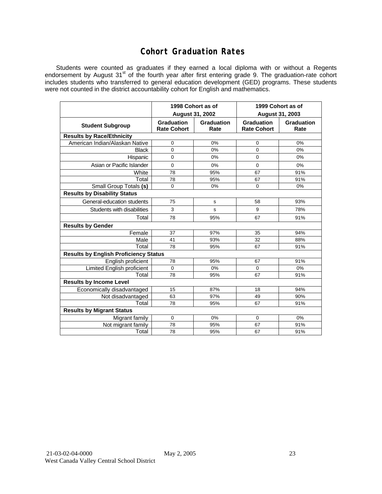### **Cohort Graduation Rates**

Students were counted as graduates if they earned a local diploma with or without a Regents endorsement by August 31<sup>st</sup> of the fourth year after first entering grade 9. The graduation-rate cohort includes students who transferred to general education development (GED) programs. These students were not counted in the district accountability cohort for English and mathematics.

|                                              |                                         | 1998 Cohort as of         | 1999 Cohort as of                |                    |  |  |  |  |  |  |
|----------------------------------------------|-----------------------------------------|---------------------------|----------------------------------|--------------------|--|--|--|--|--|--|
|                                              |                                         | <b>August 31, 2002</b>    | August 31, 2003                  |                    |  |  |  |  |  |  |
| <b>Student Subgroup</b>                      | <b>Graduation</b><br><b>Rate Cohort</b> | <b>Graduation</b><br>Rate | Graduation<br><b>Rate Cohort</b> | Graduation<br>Rate |  |  |  |  |  |  |
| <b>Results by Race/Ethnicity</b>             |                                         |                           |                                  |                    |  |  |  |  |  |  |
| American Indian/Alaskan Native               | $\mathbf 0$                             | 0%                        | 0                                | 0%                 |  |  |  |  |  |  |
| <b>Black</b>                                 | $\Omega$                                | 0%                        | 0                                | 0%                 |  |  |  |  |  |  |
| Hispanic                                     | $\mathbf 0$                             | 0%                        | 0                                | 0%                 |  |  |  |  |  |  |
| Asian or Pacific Islander                    | $\mathbf 0$                             | 0%                        | 0                                | 0%                 |  |  |  |  |  |  |
| White                                        | 78                                      | 95%                       | 67                               | 91%                |  |  |  |  |  |  |
| Total                                        | 78                                      | 95%                       | 67                               | 91%                |  |  |  |  |  |  |
| Small Group Totals (s)                       | $\mathbf 0$                             | 0%                        | 0                                | 0%                 |  |  |  |  |  |  |
| <b>Results by Disability Status</b>          |                                         |                           |                                  |                    |  |  |  |  |  |  |
| General-education students                   | 75                                      | s                         | 58                               | 93%                |  |  |  |  |  |  |
| Students with disabilities                   | 3                                       | s                         | 9                                | 78%                |  |  |  |  |  |  |
| Total                                        | 78                                      | 95%                       | 67                               | 91%                |  |  |  |  |  |  |
| <b>Results by Gender</b>                     |                                         |                           |                                  |                    |  |  |  |  |  |  |
| Female                                       | 37                                      | 97%                       | 35                               | 94%                |  |  |  |  |  |  |
| Male                                         | 41                                      | 93%                       | 32                               | 88%                |  |  |  |  |  |  |
| Total                                        | 78                                      | 95%                       | 67                               | 91%                |  |  |  |  |  |  |
| <b>Results by English Proficiency Status</b> |                                         |                           |                                  |                    |  |  |  |  |  |  |
| English proficient                           | 78                                      | 95%                       | 67                               | 91%                |  |  |  |  |  |  |
| Limited English proficient                   | $\mathbf 0$                             | 0%                        | 0                                | 0%                 |  |  |  |  |  |  |
| Total                                        | 78                                      | 95%                       | 67                               | 91%                |  |  |  |  |  |  |
| <b>Results by Income Level</b>               |                                         |                           |                                  |                    |  |  |  |  |  |  |
| Economically disadvantaged                   | 15                                      | 87%                       | 18                               | 94%                |  |  |  |  |  |  |
| Not disadvantaged                            | 63                                      | 97%                       | 49                               | 90%                |  |  |  |  |  |  |
| Total                                        | 78                                      | 95%                       | 67                               | 91%                |  |  |  |  |  |  |
| <b>Results by Migrant Status</b>             |                                         |                           |                                  |                    |  |  |  |  |  |  |
| Migrant family                               | $\mathbf 0$                             | 0%                        | 0                                | 0%                 |  |  |  |  |  |  |
| Not migrant family                           | 78                                      | 95%                       | 67                               | 91%                |  |  |  |  |  |  |
| Total                                        | 78                                      | 95%                       | 67                               | 91%                |  |  |  |  |  |  |